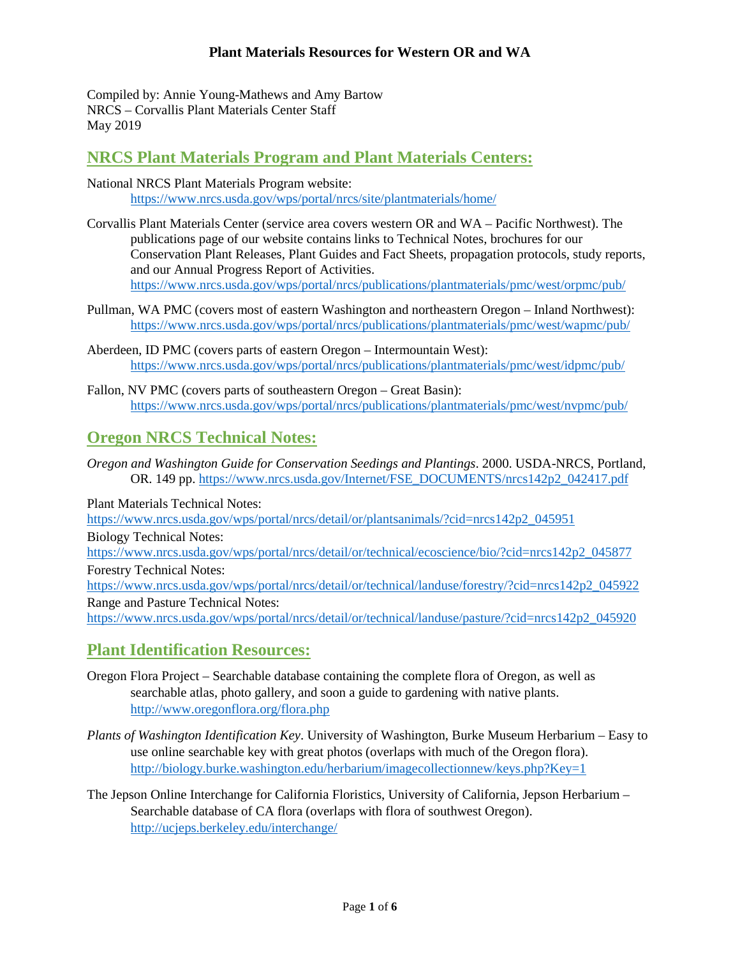Compiled by: Annie Young-Mathews and Amy Bartow NRCS – Corvallis Plant Materials Center Staff May 2019

## **NRCS Plant Materials Program and Plant Materials Centers:**

National NRCS Plant Materials Program website: <https://www.nrcs.usda.gov/wps/portal/nrcs/site/plantmaterials/home/>

- Corvallis Plant Materials Center (service area covers western OR and WA Pacific Northwest). The publications page of our website contains links to Technical Notes, brochures for our Conservation Plant Releases, Plant Guides and Fact Sheets, propagation protocols, study reports, and our Annual Progress Report of Activities. <https://www.nrcs.usda.gov/wps/portal/nrcs/publications/plantmaterials/pmc/west/orpmc/pub/>
- Pullman, WA PMC (covers most of eastern Washington and northeastern Oregon Inland Northwest): <https://www.nrcs.usda.gov/wps/portal/nrcs/publications/plantmaterials/pmc/west/wapmc/pub/>
- Aberdeen, ID PMC (covers parts of eastern Oregon Intermountain West): <https://www.nrcs.usda.gov/wps/portal/nrcs/publications/plantmaterials/pmc/west/idpmc/pub/>
- Fallon, NV PMC (covers parts of southeastern Oregon Great Basin): <https://www.nrcs.usda.gov/wps/portal/nrcs/publications/plantmaterials/pmc/west/nvpmc/pub/>

### **Oregon NRCS Technical Notes:**

*Oregon and Washington Guide for Conservation Seedings and Plantings*. 2000. USDA-NRCS, Portland, OR. 149 pp. [https://www.nrcs.usda.gov/Internet/FSE\\_DOCUMENTS/nrcs142p2\\_042417.pdf](https://www.nrcs.usda.gov/Internet/FSE_DOCUMENTS/nrcs142p2_042417.pdf)

Plant Materials Technical Notes:

[https://www.nrcs.usda.gov/wps/portal/nrcs/detail/or/plantsanimals/?cid=nrcs142p2\\_045951](https://www.nrcs.usda.gov/wps/portal/nrcs/detail/or/plantsanimals/?cid=nrcs142p2_045951)

Biology Technical Notes:

[https://www.nrcs.usda.gov/wps/portal/nrcs/detail/or/technical/ecoscience/bio/?cid=nrcs142p2\\_045877](https://www.nrcs.usda.gov/wps/portal/nrcs/detail/or/technical/ecoscience/bio/?cid=nrcs142p2_045877) Forestry Technical Notes:

[https://www.nrcs.usda.gov/wps/portal/nrcs/detail/or/technical/landuse/forestry/?cid=nrcs142p2\\_045922](https://www.nrcs.usda.gov/wps/portal/nrcs/detail/or/technical/landuse/forestry/?cid=nrcs142p2_045922) Range and Pasture Technical Notes:

[https://www.nrcs.usda.gov/wps/portal/nrcs/detail/or/technical/landuse/pasture/?cid=nrcs142p2\\_045920](https://www.nrcs.usda.gov/wps/portal/nrcs/detail/or/technical/landuse/pasture/?cid=nrcs142p2_045920)

### **Plant Identification Resources:**

- Oregon Flora Project Searchable database containing the complete flora of Oregon, as well as searchable atlas, photo gallery, and soon a guide to gardening with native plants. <http://www.oregonflora.org/flora.php>
- *Plants of Washington Identification Key*. University of Washington, Burke Museum Herbarium Easy to use online searchable key with great photos (overlaps with much of the Oregon flora). <http://biology.burke.washington.edu/herbarium/imagecollectionnew/keys.php?Key=1>
- The Jepson Online Interchange for California Floristics, University of California, Jepson Herbarium Searchable database of CA flora (overlaps with flora of southwest Oregon). <http://ucjeps.berkeley.edu/interchange/>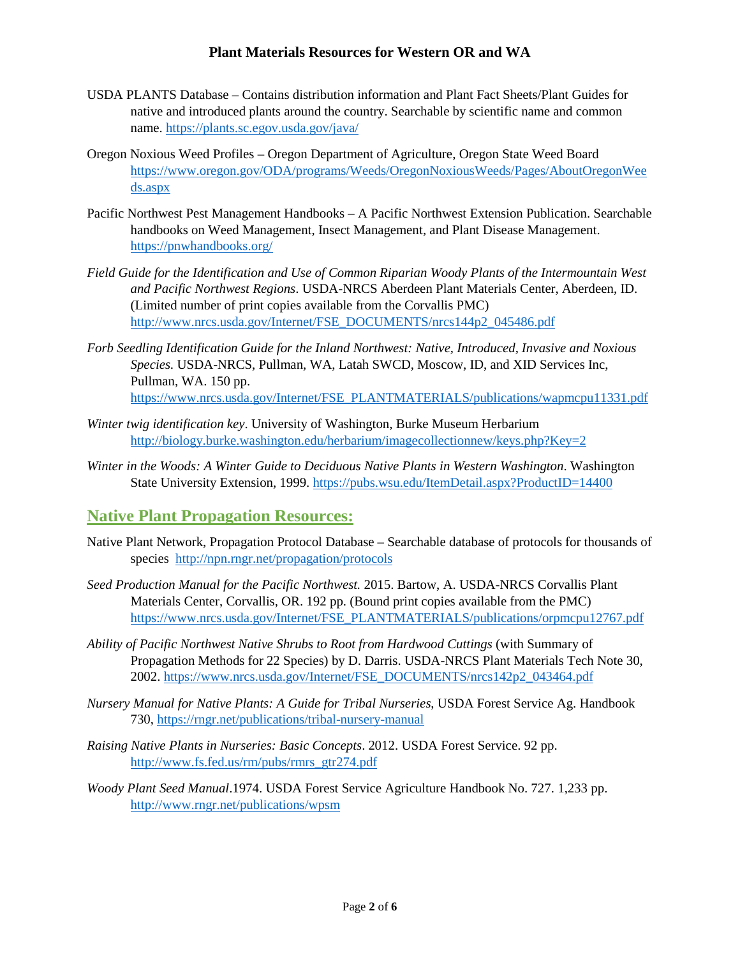- USDA PLANTS Database Contains distribution information and Plant Fact Sheets/Plant Guides for native and introduced plants around the country. Searchable by scientific name and common name. https://plants.sc.egov.usda.gov/java/
- Oregon Noxious Weed Profiles Oregon Department of Agriculture, Oregon State Weed Board [https://www.oregon.gov/ODA/programs/Weeds/OregonNoxiousWeeds/Pages/AboutOregonWee](https://www.oregon.gov/ODA/programs/Weeds/OregonNoxiousWeeds/Pages/AboutOregonWeeds.aspx) [ds.aspx](https://www.oregon.gov/ODA/programs/Weeds/OregonNoxiousWeeds/Pages/AboutOregonWeeds.aspx)
- Pacific Northwest Pest Management Handbooks A Pacific Northwest Extension Publication. Searchable handbooks on Weed Management, Insect Management, and Plant Disease Management. <https://pnwhandbooks.org/>
- *Field Guide for the Identification and Use of Common Riparian Woody Plants of the Intermountain West and Pacific Northwest Regions*. USDA-NRCS Aberdeen Plant Materials Center, Aberdeen, ID. (Limited number of print copies available from the Corvallis PMC) [http://www.nrcs.usda.gov/Internet/FSE\\_DOCUMENTS/nrcs144p2\\_045486.pdf](http://www.nrcs.usda.gov/Internet/FSE_DOCUMENTS/nrcs144p2_045486.pdf)
- *Forb Seedling Identification Guide for the Inland Northwest: Native, Introduced, Invasive and Noxious Species.* USDA-NRCS, Pullman, WA, Latah SWCD, Moscow, ID, and XID Services Inc, Pullman, WA. 150 pp. [https://www.nrcs.usda.gov/Internet/FSE\\_PLANTMATERIALS/publications/wapmcpu11331.pdf](https://www.nrcs.usda.gov/Internet/FSE_PLANTMATERIALS/publications/wapmcpu11331.pdf)
- *Winter twig identification key*. University of Washington, Burke Museum Herbarium <http://biology.burke.washington.edu/herbarium/imagecollectionnew/keys.php?Key=2>
- *Winter in the Woods: A Winter Guide to Deciduous Native Plants in Western Washington*. Washington State University Extension, 1999. <https://pubs.wsu.edu/ItemDetail.aspx?ProductID=14400>

### **Native Plant Propagation Resources:**

- Native Plant Network, Propagation Protocol Database Searchable database of protocols for thousands of species <http://npn.rngr.net/propagation/protocols>
- *Seed Production Manual for the Pacific Northwest.* 2015. Bartow, A. USDA-NRCS Corvallis Plant Materials Center, Corvallis, OR. 192 pp. (Bound print copies available from the PMC) [https://www.nrcs.usda.gov/Internet/FSE\\_PLANTMATERIALS/publications/orpmcpu12767.pdf](https://www.nrcs.usda.gov/Internet/FSE_PLANTMATERIALS/publications/orpmcpu12767.pdf)
- *Ability of Pacific Northwest Native Shrubs to Root from Hardwood Cuttings* (with Summary of Propagation Methods for 22 Species) by D. Darris. USDA-NRCS Plant Materials Tech Note 30, 2002. [https://www.nrcs.usda.gov/Internet/FSE\\_DOCUMENTS/nrcs142p2\\_043464.pdf](https://www.nrcs.usda.gov/Internet/FSE_DOCUMENTS/nrcs142p2_043464.pdf)
- *Nursery Manual for Native Plants: A Guide for Tribal Nurseries*, USDA Forest Service Ag. Handbook 730,<https://rngr.net/publications/tribal-nursery-manual>
- *Raising Native Plants in Nurseries: Basic Concepts*. 2012. USDA Forest Service. 92 pp. [http://www.fs.fed.us/rm/pubs/rmrs\\_gtr274.pdf](http://www.fs.fed.us/rm/pubs/rmrs_gtr274.pdf)
- *Woody Plant Seed Manual*.1974. USDA Forest Service Agriculture Handbook No. 727. 1,233 pp. <http://www.rngr.net/publications/wpsm>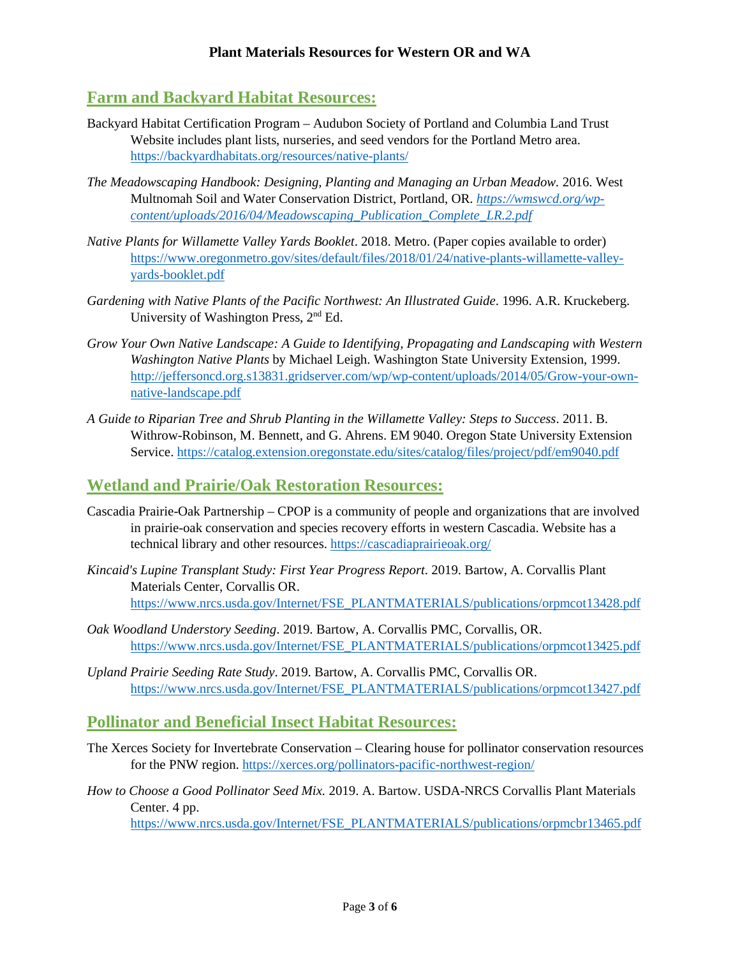### **Farm and Backyard Habitat Resources:**

- Backyard Habitat Certification Program Audubon Society of Portland and Columbia Land Trust Website includes plant lists, nurseries, and seed vendors for the Portland Metro area. <https://backyardhabitats.org/resources/native-plants/>
- *The Meadowscaping Handbook: Designing, Planting and Managing an Urban Meadow.* 2016. West Multnomah Soil and Water Conservation District, Portland, OR. *[https://wmswcd.org/wp](https://wmswcd.org/wp-content/uploads/2016/04/Meadowscaping_Publication_Complete_LR.2.pdf)[content/uploads/2016/04/Meadowscaping\\_Publication\\_Complete\\_LR.2.pdf](https://wmswcd.org/wp-content/uploads/2016/04/Meadowscaping_Publication_Complete_LR.2.pdf)*
- *Native Plants for Willamette Valley Yards Booklet*. 2018. Metro. (Paper copies available to order) [https://www.oregonmetro.gov/sites/default/files/2018/01/24/native-plants-willamette-valley](https://www.oregonmetro.gov/sites/default/files/2018/01/24/native-plants-willamette-valley-yards-booklet.pdf)[yards-booklet.pdf](https://www.oregonmetro.gov/sites/default/files/2018/01/24/native-plants-willamette-valley-yards-booklet.pdf)
- *Gardening with Native Plants of the Pacific Northwest: An Illustrated Guide*. 1996. A.R. Kruckeberg. University of Washington Press, 2nd Ed.
- *Grow Your Own Native Landscape: A Guide to Identifying, Propagating and Landscaping with Western Washington Native Plants* by Michael Leigh. Washington State University Extension, 1999. [http://jeffersoncd.org.s13831.gridserver.com/wp/wp-content/uploads/2014/05/Grow-your-own](http://jeffersoncd.org.s13831.gridserver.com/wp/wp-content/uploads/2014/05/Grow-your-own-native-landscape.pdf)[native-landscape.pdf](http://jeffersoncd.org.s13831.gridserver.com/wp/wp-content/uploads/2014/05/Grow-your-own-native-landscape.pdf)
- *A Guide to Riparian Tree and Shrub Planting in the Willamette Valley: Steps to Success*. 2011. B. Withrow-Robinson, M. Bennett, and G. Ahrens. EM 9040. Oregon State University Extension Service.<https://catalog.extension.oregonstate.edu/sites/catalog/files/project/pdf/em9040.pdf>

#### **Wetland and Prairie/Oak Restoration Resources:**

- Cascadia Prairie-Oak Partnership CPOP is a community of people and organizations that are involved in prairie-oak conservation and species recovery efforts in western Cascadia. Website has a technical library and other resources. <https://cascadiaprairieoak.org/>
- *Kincaid's Lupine Transplant Study: First Year Progress Report*. 2019. Bartow, A. Corvallis Plant Materials Center, Corvallis OR. [https://www.nrcs.usda.gov/Internet/FSE\\_PLANTMATERIALS/publications/orpmcot13428.pdf](https://www.nrcs.usda.gov/Internet/FSE_PLANTMATERIALS/publications/orpmcot13428.pdf)
- *Oak Woodland Understory Seeding*. 2019. Bartow, A. Corvallis PMC, Corvallis, OR. [https://www.nrcs.usda.gov/Internet/FSE\\_PLANTMATERIALS/publications/orpmcot13425.pdf](https://www.nrcs.usda.gov/Internet/FSE_PLANTMATERIALS/publications/orpmcot13425.pdf)
- *Upland Prairie Seeding Rate Study*. 2019. Bartow, A. Corvallis PMC, Corvallis OR. [https://www.nrcs.usda.gov/Internet/FSE\\_PLANTMATERIALS/publications/orpmcot13427.pdf](https://www.nrcs.usda.gov/Internet/FSE_PLANTMATERIALS/publications/orpmcot13427.pdf)

### **Pollinator and Beneficial Insect Habitat Resources:**

- The Xerces Society for Invertebrate Conservation Clearing house for pollinator conservation resources for the PNW region.<https://xerces.org/pollinators-pacific-northwest-region/>
- *How to Choose a Good Pollinator Seed Mix.* 2019. A. Bartow. USDA-NRCS Corvallis Plant Materials Center. 4 pp.

[https://www.nrcs.usda.gov/Internet/FSE\\_PLANTMATERIALS/publications/orpmcbr13465.pdf](https://www.nrcs.usda.gov/Internet/FSE_PLANTMATERIALS/publications/orpmcbr13465.pdf)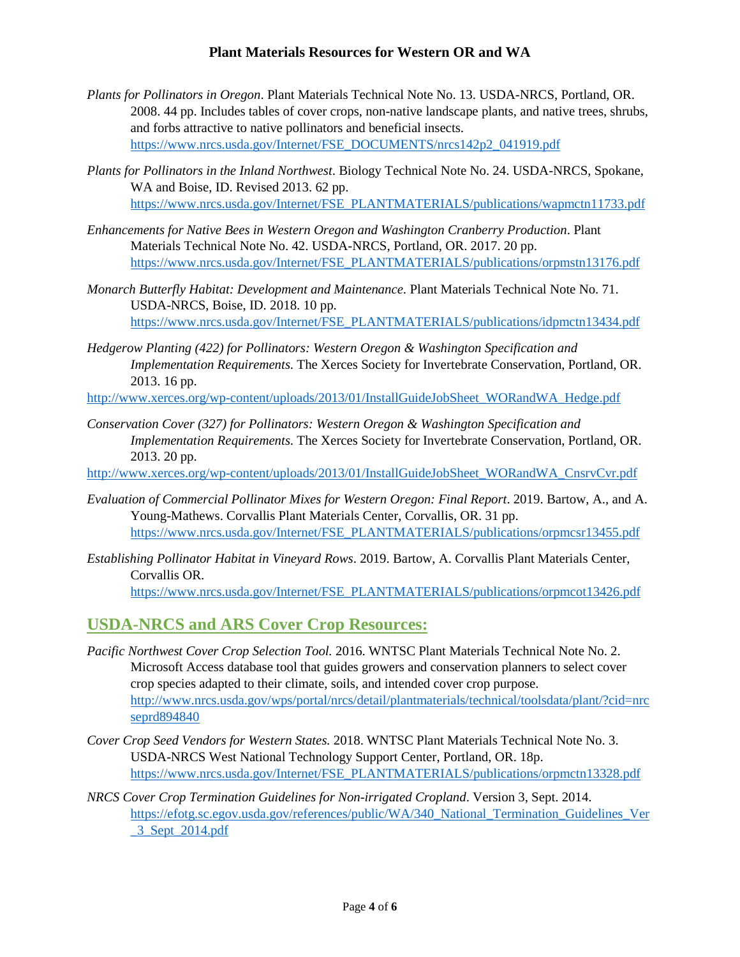- *Plants for Pollinators in Oregon*. Plant Materials Technical Note No. 13. USDA-NRCS, Portland, OR. 2008. 44 pp. Includes tables of cover crops, non-native landscape plants, and native trees, shrubs, and forbs attractive to native pollinators and beneficial insects. [https://www.nrcs.usda.gov/Internet/FSE\\_DOCUMENTS/nrcs142p2\\_041919.pdf](https://www.nrcs.usda.gov/Internet/FSE_DOCUMENTS/nrcs142p2_041919.pdf)
- *Plants for Pollinators in the Inland Northwest*. Biology Technical Note No. 24. USDA-NRCS, Spokane, WA and Boise, ID. Revised 2013. 62 pp. https://www.nrcs.usda.gov/Internet/FSE\_PLANTMATERIALS/publications/wapmctn11733.pdf
- *Enhancements for Native Bees in Western Oregon and Washington Cranberry Production*. Plant Materials Technical Note No. 42. USDA-NRCS, Portland, OR. 2017. 20 pp. [https://www.nrcs.usda.gov/Internet/FSE\\_PLANTMATERIALS/publications/orpmstn13176.pdf](https://www.nrcs.usda.gov/Internet/FSE_PLANTMATERIALS/publications/orpmstn13176.pdf)
- *Monarch Butterfly Habitat: Development and Maintenance.* Plant Materials Technical Note No. 71. USDA-NRCS, Boise, ID. 2018. 10 pp. [https://www.nrcs.usda.gov/Internet/FSE\\_PLANTMATERIALS/publications/idpmctn13434.pdf](https://www.nrcs.usda.gov/Internet/FSE_PLANTMATERIALS/publications/idpmctn13434.pdf)
- *Hedgerow Planting (422) for Pollinators: Western Oregon & Washington Specification and Implementation Requirements.* The Xerces Society for Invertebrate Conservation, Portland, OR. 2013. 16 pp.

[http://www.xerces.org/wp-content/uploads/2013/01/InstallGuideJobSheet\\_WORandWA\\_Hedge.pdf](http://www.xerces.org/wp-content/uploads/2013/01/InstallGuideJobSheet_WORandWA_Hedge.pdf)

*Conservation Cover (327) for Pollinators: Western Oregon & Washington Specification and Implementation Requirements.* The Xerces Society for Invertebrate Conservation, Portland, OR. 2013. 20 pp.

[http://www.xerces.org/wp-content/uploads/2013/01/InstallGuideJobSheet\\_WORandWA\\_CnsrvCvr.pdf](http://www.xerces.org/wp-content/uploads/2013/01/InstallGuideJobSheet_WORandWA_CnsrvCvr.pdf)

- *Evaluation of Commercial Pollinator Mixes for Western Oregon: Final Report*. 2019. Bartow, A., and A. Young-Mathews. Corvallis Plant Materials Center, Corvallis, OR. 31 pp. [https://www.nrcs.usda.gov/Internet/FSE\\_PLANTMATERIALS/publications/orpmcsr13455.pdf](https://www.nrcs.usda.gov/Internet/FSE_PLANTMATERIALS/publications/orpmcsr13455.pdf)
- *Establishing Pollinator Habitat in Vineyard Rows*. 2019. Bartow, A. Corvallis Plant Materials Center, Corvallis OR.

[https://www.nrcs.usda.gov/Internet/FSE\\_PLANTMATERIALS/publications/orpmcot13426.pdf](https://www.nrcs.usda.gov/Internet/FSE_PLANTMATERIALS/publications/orpmcot13426.pdf)

### **USDA-NRCS and ARS Cover Crop Resources:**

- *Pacific Northwest Cover Crop Selection Tool.* 2016. WNTSC Plant Materials Technical Note No. 2. Microsoft Access database tool that guides growers and conservation planners to select cover crop species adapted to their climate, soils, and intended cover crop purpose. [http://www.nrcs.usda.gov/wps/portal/nrcs/detail/plantmaterials/technical/toolsdata/plant/?cid=nrc](http://www.nrcs.usda.gov/wps/portal/nrcs/detail/plantmaterials/technical/toolsdata/plant/?cid=nrcseprd894840) [seprd894840](http://www.nrcs.usda.gov/wps/portal/nrcs/detail/plantmaterials/technical/toolsdata/plant/?cid=nrcseprd894840)
- *Cover Crop Seed Vendors for Western States.* 2018. WNTSC Plant Materials Technical Note No. 3. USDA-NRCS West National Technology Support Center, Portland, OR. 18p. [https://www.nrcs.usda.gov/Internet/FSE\\_PLANTMATERIALS/publications/orpmctn13328.pdf](https://www.nrcs.usda.gov/Internet/FSE_PLANTMATERIALS/publications/orpmctn13328.pdf)
- *NRCS Cover Crop Termination Guidelines for Non-irrigated Cropland*. Version 3, Sept. 2014. [https://efotg.sc.egov.usda.gov/references/public/WA/340\\_National\\_Termination\\_Guidelines\\_Ver](https://efotg.sc.egov.usda.gov/references/public/WA/340_National_Termination_Guidelines_Ver_3_Sept_2014.pdf) [\\_3\\_Sept\\_2014.pdf](https://efotg.sc.egov.usda.gov/references/public/WA/340_National_Termination_Guidelines_Ver_3_Sept_2014.pdf)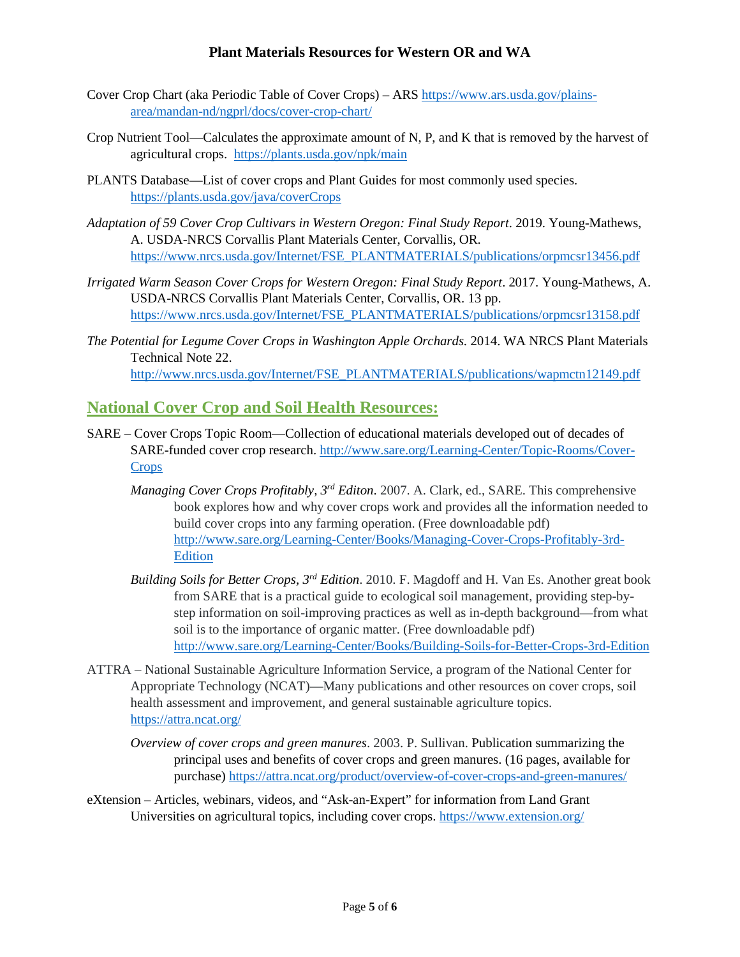- Cover Crop Chart (aka Periodic Table of Cover Crops) ARS https://www.ars.usda.gov/plainsarea/mandan-nd/ngprl/docs/cover-crop-chart/
- Crop Nutrient Tool—Calculates the approximate amount of N, P, and K that is removed by the harvest of agricultural crops. <https://plants.usda.gov/npk/main>
- PLANTS Database—List of cover crops and Plant Guides for most commonly used species. <https://plants.usda.gov/java/coverCrops>
- *Adaptation of 59 Cover Crop Cultivars in Western Oregon: Final Study Report*. 2019. Young-Mathews, A. USDA-NRCS Corvallis Plant Materials Center, Corvallis, OR. [https://www.nrcs.usda.gov/Internet/FSE\\_PLANTMATERIALS/publications/orpmcsr13456.pdf](https://www.nrcs.usda.gov/Internet/FSE_PLANTMATERIALS/publications/orpmcsr13456.pdf)
- *Irrigated Warm Season Cover Crops for Western Oregon: Final Study Report*. 2017. Young-Mathews, A. USDA-NRCS Corvallis Plant Materials Center, Corvallis, OR. 13 pp. [https://www.nrcs.usda.gov/Internet/FSE\\_PLANTMATERIALS/publications/orpmcsr13158.pdf](https://www.nrcs.usda.gov/Internet/FSE_PLANTMATERIALS/publications/orpmcsr13158.pdf)
- *The Potential for Legume Cover Crops in Washington Apple Orchards.* 2014. WA NRCS Plant Materials Technical Note 22. [http://www.nrcs.usda.gov/Internet/FSE\\_PLANTMATERIALS/publications/wapmctn12149.pdf](http://www.nrcs.usda.gov/Internet/FSE_PLANTMATERIALS/publications/wapmctn12149.pdf)

## **National Cover Crop and Soil Health Resources:**

- SARE Cover Crops Topic Room—Collection of educational materials developed out of decades of SARE-funded cover crop research[. http://www.sare.org/Learning-Center/Topic-Rooms/Cover-](http://www.sare.org/Learning-Center/Topic-Rooms/Cover-Crops)**[Crops](http://www.sare.org/Learning-Center/Topic-Rooms/Cover-Crops)** 
	- *Managing Cover Crops Profitably, 3rd Editon*. 2007. A. Clark, ed., SARE. This comprehensive book explores how and why cover crops work and provides all the information needed to build cover crops into any farming operation. (Free downloadable pdf) [http://www.sare.org/Learning-Center/Books/Managing-Cover-Crops-Profitably-3rd-](http://www.sare.org/Learning-Center/Books/Managing-Cover-Crops-Profitably-3rd-Edition)[Edition](http://www.sare.org/Learning-Center/Books/Managing-Cover-Crops-Profitably-3rd-Edition)
	- *Building Soils for Better Crops, 3rd Edition*. 2010. F. Magdoff and H. Van Es. Another great book from SARE that is a practical guide to ecological soil management, providing step-bystep information on soil-improving practices as well as in-depth background—from what soil is to the importance of organic matter. (Free downloadable pdf) <http://www.sare.org/Learning-Center/Books/Building-Soils-for-Better-Crops-3rd-Edition>
- ATTRA National Sustainable Agriculture Information Service, a program of the National Center for Appropriate Technology (NCAT)—Many publications and other resources on cover crops, soil health assessment and improvement, and general sustainable agriculture topics. <https://attra.ncat.org/>
	- *Overview of cover crops and green manures*. 2003. P. Sullivan. Publication summarizing the principal uses and benefits of cover crops and green manures. (16 pages, available for purchase) https://attra.ncat.org/product/overview-of-cover-crops-and-green-manures/
- eXtension Articles, webinars, videos, and "Ask-an-Expert" for information from Land Grant Universities on agricultural topics, including cover crops.<https://www.extension.org/>